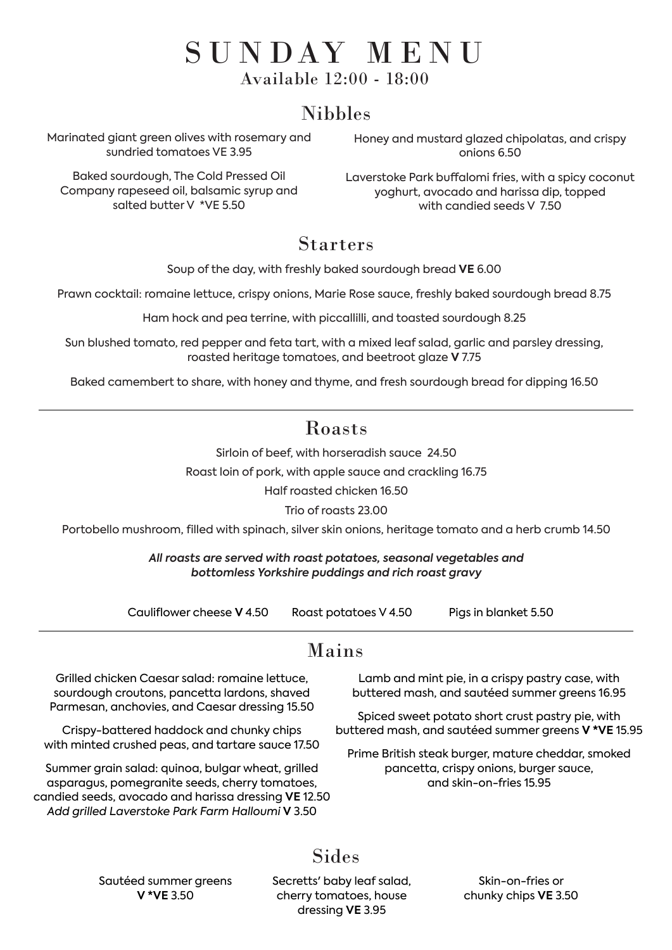## Nibbles

### Starters

## Mains

Grilled chicken Caesar salad: romaine lettuce, sourdough croutons, pancetta lardons, shaved Parmesan, anchovies, and Caesar dressing 15.50

Crispy-battered haddock and chunky chips with minted crushed peas, and tartare sauce 17.50

Summer grain salad: quinoa, bulgar wheat, grilled asparagus, pomegranite seeds, cherry tomatoes, candied seeds, avocado and harissa dressing **VE** 12.50 *Add grilled Laverstoke Park Farm Halloumi* **V** 3.50

> Secretts' baby leaf salad, cherry tomatoes, house dressing **VE** 3.95

Sides

Lamb and mint pie, in a crispy pastry case, with buttered mash, and sautéed summer greens 16.95

Spiced sweet potato short crust pastry pie, with

buttered mash, and sautéed summer greens **V \*VE** 15.95

Prime British steak burger, mature cheddar, smoked pancetta, crispy onions, burger sauce, and skin-on-fries 15.95

Sautéed summer greens **V \*VE** 3.50

Skin-on-fries or chunky chips **VE** 3.50

Soup of the day, with freshly baked sourdough bread **VE** 6.00

Prawn cocktail: romaine lettuce, crispy onions, Marie Rose sauce, freshly baked sourdough bread 8.75

Laverstoke Park buffalomi fries, with a spicy coconut yoghurt, avocado and harissa dip, topped with candied seeds V 750

Ham hock and pea terrine, with piccallilli, and toasted sourdough 8.25

# S U N DAY M E N U Available 12:00 - 18:00

Sun blushed tomato, red pepper and feta tart, with a mixed leaf salad, garlic and parsley dressing, roasted heritage tomatoes, and beetroot glaze **V** 7.75

Baked camembert to share, with honey and thyme, and fresh sourdough bread for dipping 16.50

## Roasts

Sirloin of beef, with horseradish sauce 24.50

Roast loin of pork, with apple sauce and crackling 16.75

Half roasted chicken 16.50

Trio of roasts 23.00

Portobello mushroom, filled with spinach, silver skin onions, heritage tomato and a herb crumb 14.50

*All roasts are served with roast potatoes, seasonal vegetables and bottomless Yorkshire puddings and rich roast gravy*

Cauliflower cheese **V** 4.50 Roast potatoes V 4.50 Pigs in blanket 5.50

Marinated giant green olives with rosemary and sundried tomatoes VE 3.95

Baked sourdough, The Cold Pressed Oil Company rapeseed oil, balsamic syrup and salted butter V \*VE 5.50

Honey and mustard glazed chipolatas, and crispy onions 6.50